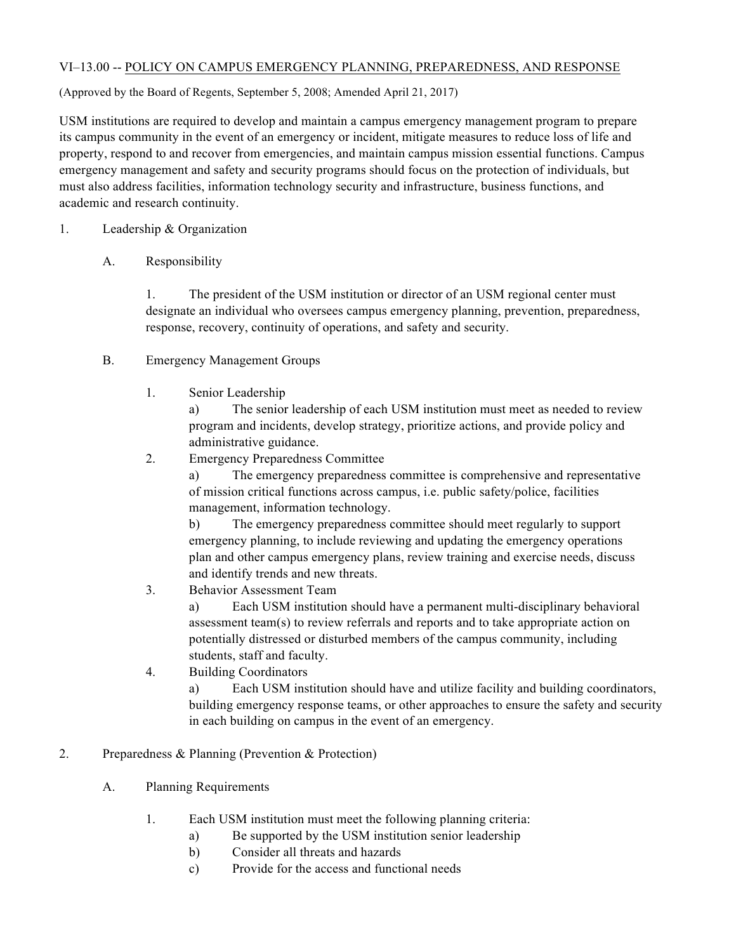#### VI–13.00 -- POLICY ON CAMPUS EMERGENCY PLANNING, PREPAREDNESS, AND RESPONSE

(Approved by the Board of Regents, September 5, 2008; Amended April 21, 2017)

 USM institutions are required to develop and maintain a campus emergency management program to prepare property, respond to and recover from emergencies, and maintain campus mission essential functions. Campus emergency management and safety and security programs should focus on the protection of individuals, but must also address facilities, information technology security and infrastructure, business functions, and academic and research continuity. its campus community in the event of an emergency or incident, mitigate measures to reduce loss of life and

- 1. Leadership & Organization
	- A. Responsibility

 1. The president of the USM institution or director of an USM regional center must designate an individual who oversees campus emergency planning, prevention, preparedness, response, recovery, continuity of operations, and safety and security.

- B. Emergency Management Groups
	- 1. Senior Leadership

 a) The senior leadership of each USM institution must meet as needed to review program and incidents, develop strategy, prioritize actions, and provide policy and administrative guidance.

2. Emergency Preparedness Committee

 a) The emergency preparedness committee is comprehensive and representative of mission critical functions across campus, i.e. public safety/police, facilities management, information technology.

 b) The emergency preparedness committee should meet regularly to support emergency planning, to include reviewing and updating the emergency operations plan and other campus emergency plans, review training and exercise needs, discuss and identify trends and new threats.

3. Behavior Assessment Team

 a) Each USM institution should have a permanent multi-disciplinary behavioral assessment team(s) to review referrals and reports and to take appropriate action on potentially distressed or disturbed members of the campus community, including students, staff and faculty.

4. Building Coordinators

 a) Each USM institution should have and utilize facility and building coordinators, building emergency response teams, or other approaches to ensure the safety and security in each building on campus in the event of an emergency.

- 2. Preparedness & Planning (Prevention & Protection)
	- A. Planning Requirements
		- 1. Each USM institution must meet the following planning criteria:
			- a) Be supported by the USM institution senior leadership
			- b) Consider all threats and hazards
			- c) Provide for the access and functional needs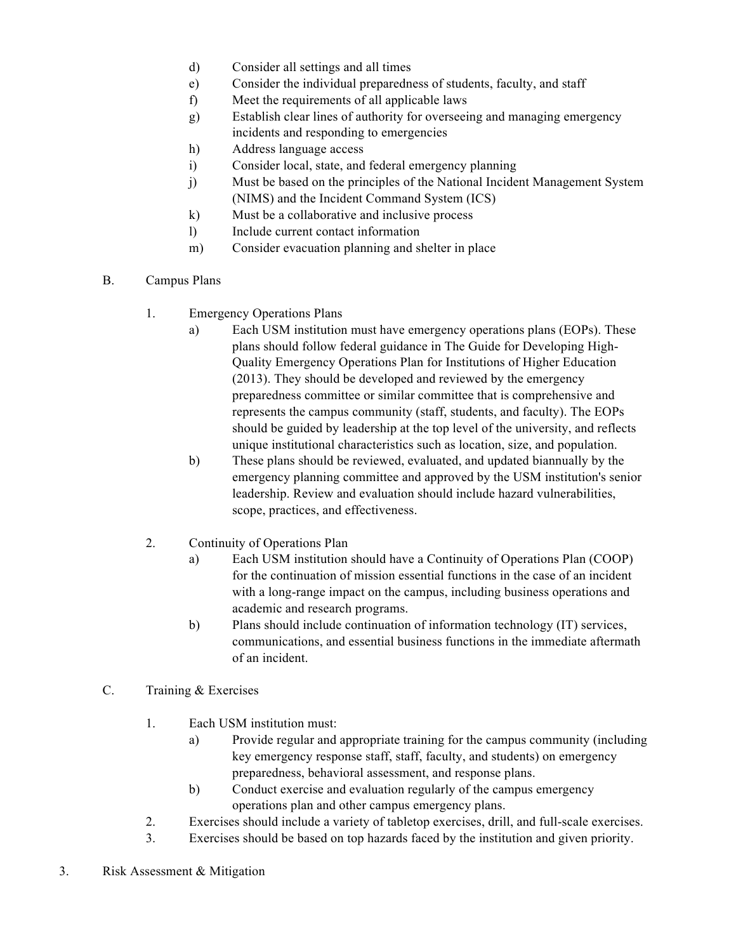- d) Consider all settings and all times
- e) Consider the individual preparedness of students, faculty, and staff
- f) Meet the requirements of all applicable laws
- g) Establish clear lines of authority for overseeing and managing emergency incidents and responding to emergencies
- h) Address language access
- i) Consider local, state, and federal emergency planning
- j) Must be based on the principles of the National Incident Management System (NIMS) and the Incident Command System (ICS)
- k) Must be a collaborative and inclusive process
- l) Include current contact information
- m) Consider evacuation planning and shelter in place
- B. Campus Plans
	- 1. Emergency Operations Plans
		- a) Each USM institution must have emergency operations plans (EOPs). These plans should follow federal guidance in The Guide for Developing High- Quality Emergency Operations Plan for Institutions of Higher Education (2013). They should be developed and reviewed by the emergency preparedness committee or similar committee that is comprehensive and represents the campus community (staff, students, and faculty). The EOPs should be guided by leadership at the top level of the university, and reflects unique institutional characteristics such as location, size, and population.
		- b) These plans should be reviewed, evaluated, and updated biannually by the emergency planning committee and approved by the USM institution's senior scope, practices, and effectiveness. leadership. Review and evaluation should include hazard vulnerabilities,
	- 2. Continuity of Operations Plan
		- a) Each USM institution should have a Continuity of Operations Plan (COOP) for the continuation of mission essential functions in the case of an incident with a long-range impact on the campus, including business operations and academic and research programs.
		- b) Plans should include continuation of information technology (IT) services, communications, and essential business functions in the immediate aftermath of an incident.
- C. Training & Exercises
	- 1. Each USM institution must:
		- a) Provide regular and appropriate training for the campus community (including key emergency response staff, staff, faculty, and students) on emergency preparedness, behavioral assessment, and response plans.
		- b) Conduct exercise and evaluation regularly of the campus emergency operations plan and other campus emergency plans.
	- 2. Exercises should include a variety of tabletop exercises, drill, and full-scale exercises.
	- 3. Exercises should be based on top hazards faced by the institution and given priority.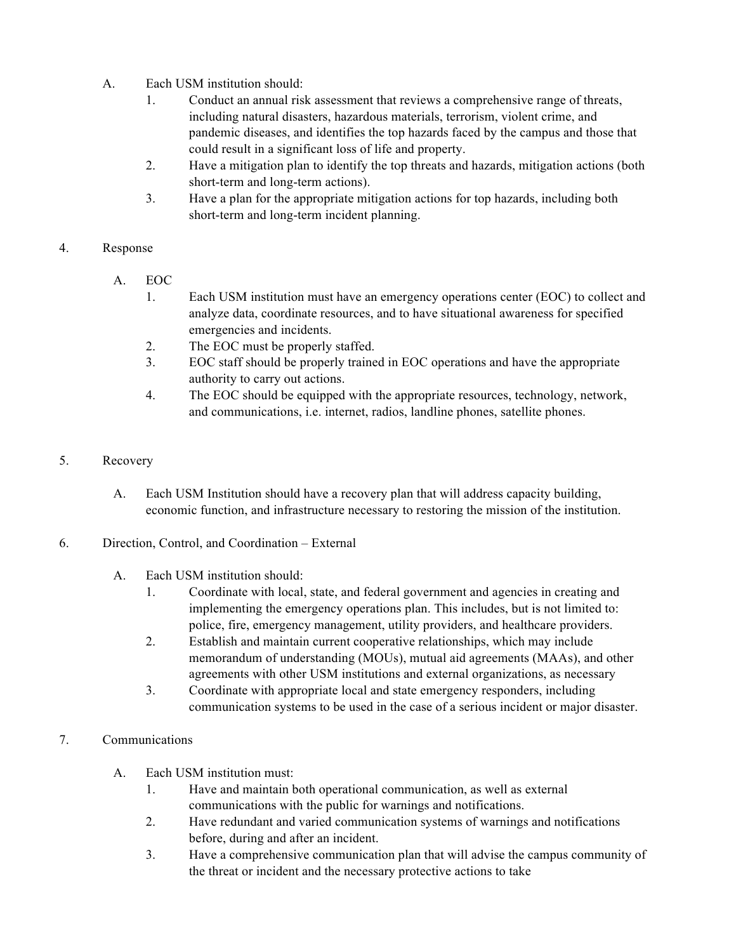- A. Each USM institution should:
	- 1. Conduct an annual risk assessment that reviews a comprehensive range of threats, pandemic diseases, and identifies the top hazards faced by the campus and those that could result in a significant loss of life and property. including natural disasters, hazardous materials, terrorism, violent crime, and
	- 2. Have a mitigation plan to identify the top threats and hazards, mitigation actions (both short-term and long-term actions).
	- 3. Have a plan for the appropriate mitigation actions for top hazards, including both short-term and long-term incident planning.

# 4. Response

- A. EOC
	- 1. Each USM institution must have an emergency operations center (EOC) to collect and analyze data, coordinate resources, and to have situational awareness for specified emergencies and incidents.
	- 2. The EOC must be properly staffed.
	- 3. EOC staff should be properly trained in EOC operations and have the appropriate authority to carry out actions.
	- 4. The EOC should be equipped with the appropriate resources, technology, network, and communications, i.e. internet, radios, landline phones, satellite phones.

### 5. Recovery

- A. Each USM Institution should have a recovery plan that will address capacity building, economic function, and infrastructure necessary to restoring the mission of the institution.
- 6. Direction, Control, and Coordination External
	- A. Each USM institution should:
		- 1. Coordinate with local, state, and federal government and agencies in creating and police, fire, emergency management, utility providers, and healthcare providers. implementing the emergency operations plan. This includes, but is not limited to:
		- 2. Establish and maintain current cooperative relationships, which may include memorandum of understanding (MOUs), mutual aid agreements (MAAs), and other agreements with other USM institutions and external organizations, as necessary
		- 3. Coordinate with appropriate local and state emergency responders, including communication systems to be used in the case of a serious incident or major disaster.

### 7. Communications

- A. Each USM institution must:
	- 1. Have and maintain both operational communication, as well as external communications with the public for warnings and notifications.
	- 2. Have redundant and varied communication systems of warnings and notifications before, during and after an incident.
	- 3. Have a comprehensive communication plan that will advise the campus community of the threat or incident and the necessary protective actions to take